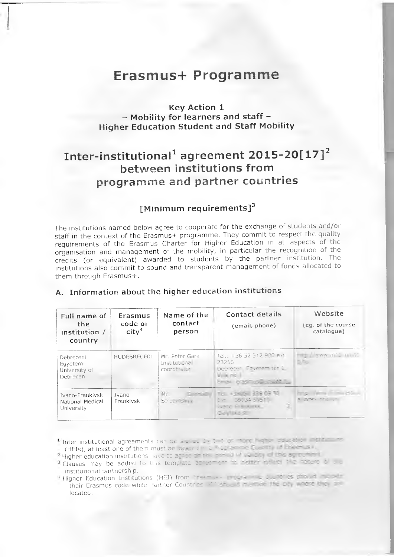# **Erasmus+ Programme**

# **Key Action 1 - Mobility for learners and staff - Higher Education Student and Staff Mobility**

# **Inter-institutional^ agreement 2015-20[17]^ between institutions from** programme and partner countries

# **[Minimum requirements]^**

The institutions named below agree to cooperate for the exchange of students and/or staff in the context of the Erasmus+ programme. They commit to respect the quality requirements of the Erasmus Charter for Higher Education in all aspects of the organisation and management of the mobility, in particular the recognition of the credits (or equivalent) awarded to students by the partner institution. The institutions also commit to sound and transparent management of funds allocated to them through Erasmus+.

| Full name of<br>the.<br>institution /<br>country  | Erasmus<br>code or<br>$\mathsf{city}^4$ | Name of the<br>contact<br>person               | Contact details<br>(email, phone)                                                                        | Website<br>(eq. of the course<br>catalogue) |
|---------------------------------------------------|-----------------------------------------|------------------------------------------------|----------------------------------------------------------------------------------------------------------|---------------------------------------------|
| Debreceni<br>Eqyetem<br>University of<br>Debrecen | HUDEBRECE01                             | Mr. Peter Gara<br>Institutional<br>coordinator | Tel.: +36 52 512 900 ext.<br>23255<br>Debrecen, Equatem ter 1.<br>V. a no.<br>Email: 6/35/7058 (7/065 To | <b>CONTRACTOR MATERIALS</b><br>$E -$        |
| Ivano-Frankivsk<br>National Medical<br>University | Ivano-<br>Frankivsk                     | Mr.<br>Service<br>Strute SHILL                 | Tel: +3505 336 69 30<br>Ext. - 38134-5951+<br>Gend Riskillak<br>Geyllius st                              | mp. In the co-<br>a nook ond un             |

# A. Information about the higher education institutions

**I** Inter-institutional agreements can be signed by two or more higher equation institutional (HEIs), at least one of them must be located in a -rogramme Cup in this linear using

<sup>2</sup> Higher education institutions iiuve to agree an the ner od influencing of the eglipement

**Clauses may be added to this template acrocment to catter forms in a reduce of the** institutional partnership.

**Higher Education Institutions (HEI) from Ensemble in renewalise strategy in the later** their Erasmus code while Partner Countries - E' should me to the big where the low **located.**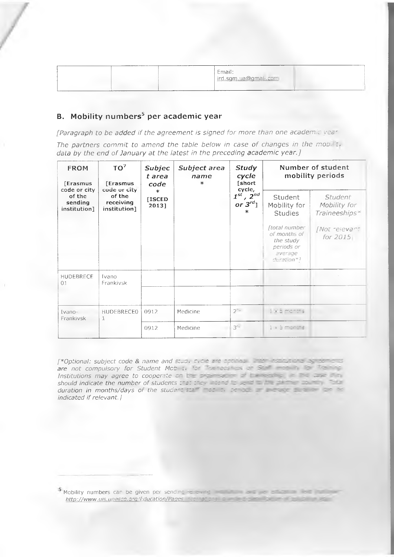| __________________ | <b>MARKET AND ARRANGEMENT</b><br>Email:<br>ird.sgm.ua@gmail.com |
|--------------------|-----------------------------------------------------------------|
|                    |                                                                 |

# **B.** Mobility numbers<sup>5</sup> per academic year

[Paragraph to be added if the agreement is signed for more than one academic year

The partners commit to amend the table below in case of changes in the mobility data by the end of January at the latest in the preceding academic year.]

| TO <sup>7</sup><br><b>FROM</b><br><b>[Erasmus</b><br><b>[Erasmus</b><br>code or city<br>code or city | Subjec<br>Subject area<br>t area<br>name<br>$\ast$<br>code | <b>Study</b><br>cycle<br>[short | Number of student<br>mobility periods |                                                     |                                                                                         |                                                 |
|------------------------------------------------------------------------------------------------------|------------------------------------------------------------|---------------------------------|---------------------------------------|-----------------------------------------------------|-----------------------------------------------------------------------------------------|-------------------------------------------------|
| of the<br>sending<br>institution]                                                                    | of the<br>receiving<br>institution]                        | $\ast$<br>[ISCED<br>2013]       |                                       | cycle,<br>$1^{st}$ , $2^{nd}$<br>or $3^{rd}$ ]<br>ж | Student<br>Mobility for<br><b>Studies</b>                                               | <i>Student</i><br>Mobility for<br>Traineeships* |
|                                                                                                      |                                                            |                                 |                                       |                                                     | ftotal number<br>of months of<br>the study<br>periods or<br>average<br>$d$ uration $*!$ | [Not relevant<br>for 2015                       |
| HUDEBRECE<br>01                                                                                      | Ivano<br>Frankivsk                                         |                                 |                                       |                                                     |                                                                                         |                                                 |
| Ivano-<br>Frankivsk                                                                                  | HUDEBRECE0<br>1                                            | 0912                            | Medicine                              | $2 -$                                               | 1 × 5 months                                                                            |                                                 |
|                                                                                                      |                                                            | 0912                            | Medicine                              | $3 -$                                               | 1 x 5 months                                                                            |                                                 |

[\*Optional: subject code & name and stud. C. de are optional this institutional agreements are not compulsory for Student Mob at for the needings and Start for the negotiation Institutions may agree to cooperate on the piger same of the reservation of the line should indicate the number of students that they have been the the the control of the duration in months/days of the student star first to be a second that the second indicated if relevant.)

<sup>5</sup> Mobility numbers can be given per sending that are a state of the state of the state of the state of the state of the state of the state of the state of the state of the state of the state of the state of the state of th http://www.uis.unesco.org/Education/Pages comediate and a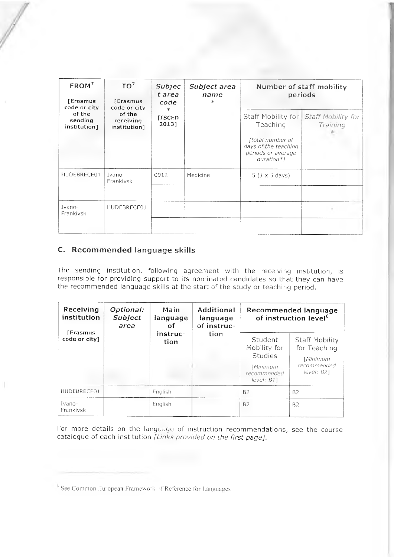| FROM <sup>7</sup><br>[Erasmus<br>code or city | TO <sup>7</sup><br><b>Frasmus</b><br>code or city | Subjec<br>t area<br>code<br>$\ast$ | Subject area<br>name<br>$\ast$ |                                                                                             | Number of staff mobility<br>periods               |
|-----------------------------------------------|---------------------------------------------------|------------------------------------|--------------------------------|---------------------------------------------------------------------------------------------|---------------------------------------------------|
| of the<br>sending<br>institution]             | of the<br>receiving<br>institution]               | <b>[ISCED</b><br>2013]             |                                | Teaching<br>ftotal number of<br>days of the teaching<br>periods or average<br>$duration*$ ] | Staff Mobility for Staff Mobility for<br>Training |
| HUDEBRECE01                                   | Ivano-<br>Frankivsk                               | 0912                               | Medicine                       | $5(1 \times 5 \text{ days})$                                                                |                                                   |
| Ivano-<br>Frankivsk                           | HUDEBRECE01                                       |                                    |                                |                                                                                             |                                                   |

## **с. Recommended language skills**

The sending institution, following agreement with the receiving institution, is re sp on sible for providing support to its nominated candidates so that they can have the recommended language skills at the start of the study or teaching period.

| Receiving<br>Optional:<br>institution<br>Subject<br>area | Main<br>language<br>Ωf | Additional<br>language<br>of instruc- |      | Recommended language<br>of instruction level <sup>6</sup>                            |                                                                         |
|----------------------------------------------------------|------------------------|---------------------------------------|------|--------------------------------------------------------------------------------------|-------------------------------------------------------------------------|
| <b>[Erasmus</b><br>code or city]                         |                        | instruc-<br>tion                      | tion | Student<br>Mobility for<br><b>Studies</b><br>Minimum<br>recommended<br>$level: B1$ ] | Staff Mobility<br>for Teaching<br>[Minimum<br>recommended<br>level: B21 |
| HUDEBRECE01                                              |                        | English                               |      | B <sub>2</sub>                                                                       | <b>B2</b>                                                               |
| Ivano-<br>Frankivsk                                      |                        | English                               |      | <b>B2</b>                                                                            | <b>B2</b>                                                               |

For more details on the language of instruction recommendations, see the course catalogue of each institution *[Links provided on the first page]*.

<sup>&</sup>lt;sup>1</sup>' See Common European Framework of Reference for Languages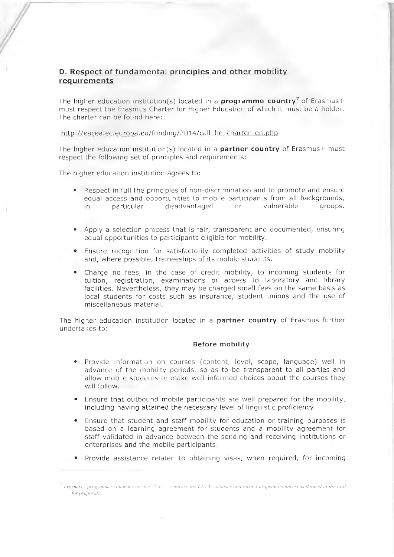## **D. Respect of fundamental principles and other mobility requirements**

The higher education institution(s) located in a **programme country<sup>7</sup>** of Erasmus+ must respect the Erasmus Charter for Higher Education of which it must be a holder. The charter can be found here:

http://eacea.ec.europa.eu/funding/2014/call he charter en.php

The higher education institution(s) located in a **partner country** of Erasmus+ must respect the following set of principles and requirements:

The higher education institution agrees to:

- Respect in full the principles of non-discrimination and to promote and ensure equal access and opportunities to mobile participants from all backgrounds, in particular disadvantaged or vulnerable groups.
- Apply a selection process that is fair, transparent and documented, ensuring equal opportunities to participants eligible for mobility.
- $\bullet$  Fnsure recognition for satisfactorily completed activities of study mobility and, where possible, traineeships of its mobile students.
- Charge no fees, in the case of credit mobility, to incoming students for tuition, registration, examinations or access to laboratory and library facilities. Nevertheless, they may be charged small fees on the same basis as local students for costs such as insurance, student unions and the use of miscellaneous material.

The higher education institution located in a **partner country** of Erasmus further undertakes to:

#### **Before mobility**

- Provide information on courses (content, level, scope, language) well in advance of the mobility periods, so as to be transparent to all parties and allow mobile students to make well-informed choices about the courses they will follow.
- Ensure that outbound mobile participants are well prepared for the mobility, including having attained the necessary level of linguistic proficiency.
- Ensure that student and staff mobility for education or training purposes is based on a learning agreement for students and a mobility agreement for staff validated in advance between the sending and receiving institutions or enterprises and the mobile participants.
- Provide assistance related to obtaining visas, when required, for incoming

Ereisinus · programme countries are the N.L. countries the EETA countries and other European countries as defined in the Call *for proposals*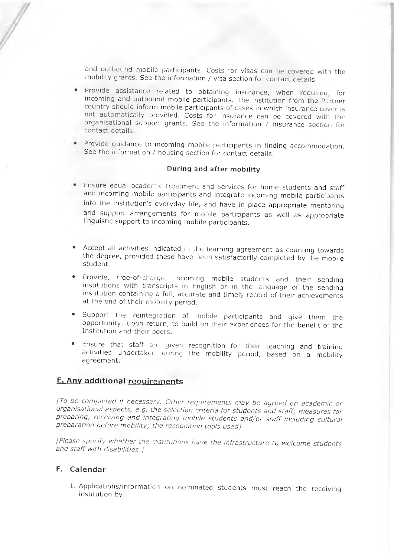and outbound mobile participants. Costs for visas can be covered with the mobility grants. See the information / visa section for contact details.

- . Provide assistance related to obtaining insurance, when required, for incoming and outbound mobile participants. The institution from the Partner country should inform mobile participants of cases in which insurance cover is not automatically provided. Costs for insurance can be covered with the organisational support grants. See the information / insurance section for contact details.
- Provide quidance to incoming mobile participants in finding accommodation. See the information / housing section for contact details.

#### **During and after mobility**

- Ensure equal academic treatment and services for home students and staff and incoming mobile participants and integrate incoming mobile participants into the institution's everyday life, and have in place appropriate mentoring and support arrangements for mobile participants as well as appropriate linquistic support to incoming mobile participants.
- Accept all activities indicated in the learning agreement as counting towards the degree, provided these have been satisfactorily completed by the mobile student.
- Provide, free-of-charge, incoming mobile students and their sending institutions with transcripts in English or in the language of the sending institution containing a full, accurate and timely record of their achievements at the end of their mobility period.
- Support the reintegration of mobile participants and give them the opportunity, upon return, to build on their experiences for the benefit of the Institution and their peers.
- Ensure that staff are given recognition for their teaching and training activities undertaken during the mobility period, based on a mobility agreement.

# **E. Any additional requirements**

[To be completed if necessary. Other requirements may be agreed on academic or organisational aspects, e.g. the selection criteria for students and staff; measures for preparing, receiving and integrating mobile students and/or staff including cultural *preparation before mobility; the recognition tools used]* 

*[Please specify whether the institutions have the infrastructure to welcome students* and staff with disabilities. *[* 

#### **F. Calendar**

1. Applications/information on nominated students must reach the receiving institution by: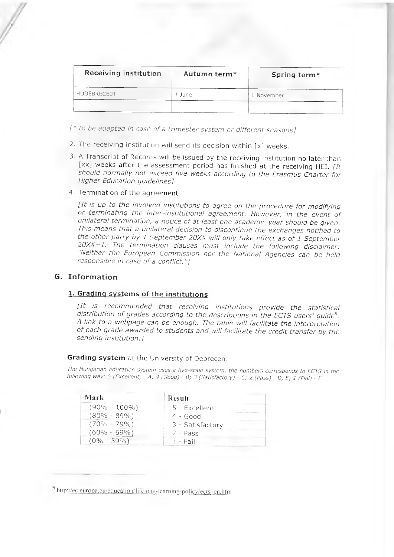| Receiving institution | Autumn term <sup>*</sup> | Spring term* |
|-----------------------|--------------------------|--------------|
| HUDEBRECE01           | June                     | l November   |
|                       |                          |              |

*[\* to be adapted in case of a trimester system or different seasons]* 

- 2. The receiving institution will send its decision within  $[x]$  weeks.
- 3. A Transcript of Records will be issued by the receiving institution no later than [xx] weeks after the assessment period has finished at the receiving HEI. *[It* should normally not exceed five weeks according to the Erasmus Charter for *Higher Education quidelines]*
- 4. Termination of the agreement

*[It is up to the involved institutions to agree on the procedure for modifying* or terminating the inter-institutional agreement. However, in the event of unilateral termination, a notice of at least one academic year should be given. This means that a unilateral decision to discontinue the exchanges notified to *the other party by 1 September 20XX will only take effect as of 1 September* 20XX+1. The termination clauses must include the following disclaimer: "Neither the European Commission nor the National Agencies can be held *responsible in case of a conflict."]* 

#### **G. Information**

### **1. Grading systems of the institutions**

*[It is recommended that receiving institutions provide the statistical distribution of grades according to the descriptions in the ECTS users' quide<sup>8</sup>.* A link to a webpage can be enough. The table will facilitate the interpretation of each grade awarded to students and will facilitate the credit transfer by the *sending institution.1* 

#### **Grading system** at the University of Debrecen:

*Ihe Hungarian education system uses a five-scale system, the numbers corresponds to ECTS in the following way:* 5 *(Fxcellent) -* /1; *4 (Good) - B; 3 (Satisfactory) - C; 2 (Pass) - D, E; 1 (Fail) - E*

| <b>Mark</b>      | Result           |
|------------------|------------------|
| $(90\% - 100\%)$ | $5 - Excellent$  |
| $(80\% - 89\%)$  | $4 - Good$       |
| $(70\% - 79\%)$  | 3 - Satisfactory |
| $(60\% - 69\%)$  | $2 - Pass$       |
| $(0\% - 59\%)$   | $1 - Fail$       |

<sup>&</sup>lt;sup>8</sup> http://ec.europa.eu/education/lifelong-learning-policy/ects en.htm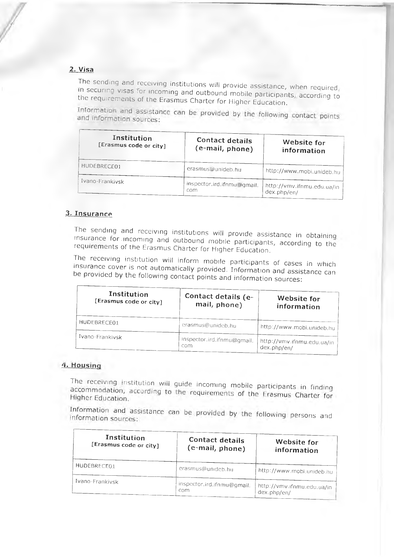## **2. V isa**

The sending and receiving institutions will provide assistance, when required, in securing visas for incoming and outbound mobile participants, according to

the requirements of the Erasmus Charter for Higher Education.<br>Information and assistance can be provided by the following contact points and Information sources:

| Institution<br>[Erasmus code or city] | Contact details<br>(e-mail, phone) | Website for<br>information                |
|---------------------------------------|------------------------------------|-------------------------------------------|
| HUDEBRECE01                           | erasmus@unideb.hu                  | http://www.mobi.unideb.hu                 |
| Ivano-Frankivsk                       | inspector.ird.ifnmu@gmail.<br>com  | http://vmv.ifnmu.edu.ua/in<br>dex.php/en/ |

### **3 . Insurance**

The sending and receiving institutions will provide assistance in obtaining insurance for incoming and outbound mobile participants, according to the requirements of the Erasmus Charter for Higher Education.

The receiving institution will inform mobile participants of cases in which insurance cover is not automatically provided. Information and assistance can be provided by the following contact points and information sources:

| Institution<br>[Erasmus code or city] | Contact details (e-<br>mail, phone) | Website for<br>information                   |
|---------------------------------------|-------------------------------------|----------------------------------------------|
| HUDEBRECE01                           | erasmus@unideb.hu                   | http://www.mobi.unideb.hu                    |
| Ivano-Frankivsk                       | inspector.ird.ifnmu@gmail.<br>com   | . http://vmv.ifnmu.edu.ua/in-<br>dex.php/en/ |

#### 4. Housing

The receiving institution will guide incoming mobile participants in finding<br>accommodation, according to the requirements of the Erasmus Charter for Higher Education.

Information and assistance can be provided by the following persons and information sources:

| Institution<br>[Erasmus code or city] | <b>Contact details</b><br>(e-mail, phone) | Website for<br>information                |
|---------------------------------------|-------------------------------------------|-------------------------------------------|
| HUDEBRECE01                           | erasmus@unideb.hu                         | http://www.mobi.unideb.hu                 |
| Ivano-Frankivsk                       | inspector.ird.ifnmu@gmail.<br>com         | http://vmv.ifnmu.edu.ua/in<br>dex.php/en/ |